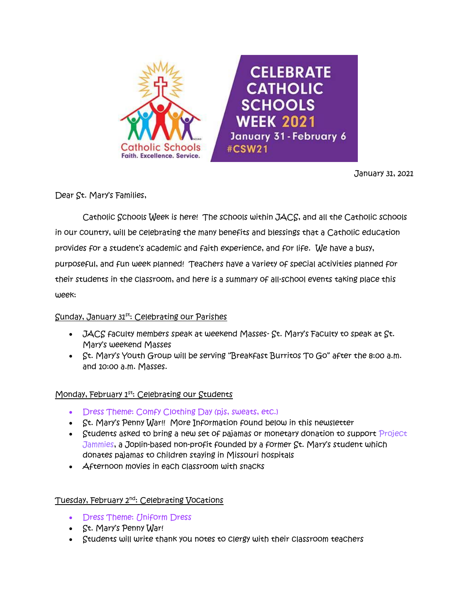

January 31, 2021

Dear St. Mary's Families,

 Catholic Schools Week is here! The schools within JACS, and all the Catholic schools in our country, will be celebrating the many benefits and blessings that a Catholic education provides for a student's academic and faith experience, and for life. We have a busy, purposeful, and fun week planned! Teachers have a variety of special activities planned for their students in the classroom, and here is a summary of all-school events taking place this week:

### $S$ unday, January 31 $^{st}$ : Celebrating our Parishes

- $JACS$  faculty members speak at weekend Masses-  $St.$  Mary's Faculty to speak at  $St.$ Mary's weekend Masses
- St. Mary's Youth Group will be serving "Breakfast Burritos To Go" after the 8:00 a.m. and 10:00 a.m. Masses.

### Monday, February 1<sup>st</sup>: Celebrating our Students

- Dress Theme: Comfy Clothing Day (pjs, sweats, etc.)
- St. Mary's Penny War!! More Information found below in this newsletter
- Students asked to bring a new set of pajamas or monetary donation to support Project Jammies, a Joplin-based non-profit founded by a former St. Mary's student which donates pajamas to children staying in Missouri hospitals
- **Afternoon movies in each classroom with snacks**

### Tuesday, February 2<sup>nd</sup>: Celebrating Vocations

- Dress Theme: Uniform Dress
- St. Mary's Penny War!
- Students will write thank you notes to clergy with their classroom teachers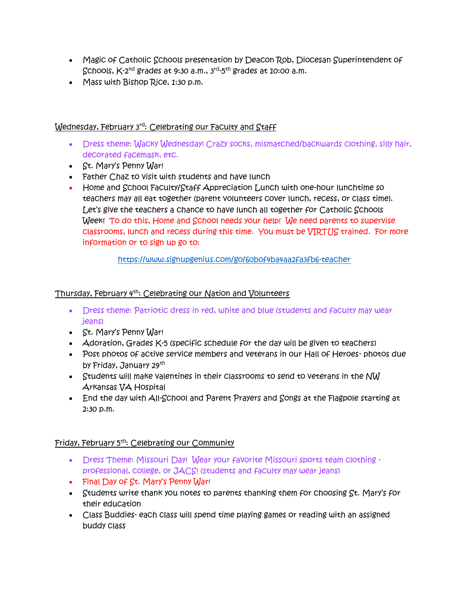- Magic of Catholic Schools presentation by Deacon Rob, Diocesan Superintendent of Schools, K-2<sup>nd</sup> grades at 9:30 a.m., 3<sup>rd</sup>-5<sup>th</sup> grades at 10:00 a.m.
- Mass with Bishop Rice, 1:30 p.m.

### Wednesday, February 3rd: Celebrating our Faculty and Staff

- Dress theme: Wacky Wednesday! Crazy socks, mismatched/backwards clothing, silly hair, decorated facemask, etc.
- St. Mary's Penny War!
- Father Chaz to visit with students and have lunch
- Home and School Faculty/Staff Appreciation Lunch with one-hour lunchtime so teachers may all eat together (parent volunteers cover lunch, recess, or class time). Let's give the teachers a chance to have lunch all together for Catholic Schools Week! To do this, Home and School needs your help! We need parents to supervise classrooms, lunch and recess during this time. You must be VIRTUS trained. For more information or to sign up go to:

<https://www.signupgenius.com/go/60b0f4ba4aa2fa3fb6-teacher>

# Thursday, February 4th: Celebrating our Nation and Volunteers

- Dress theme: Patriotic dress in red, white and blue (students and faculty may wear jeans)
- St. Mary's Penny War!
- Adoration, Grades K-5 (specific schedule for the day will be given to teachers)
- Post photos of active service members and veterans in our Hall of Heroes- photos due by Friday, January 29<sup>th</sup>
- Students will make valentines in their classrooms to send to veterans in the NW Arkansas VA Hospital
- End the day with All-School and Parent Prayers and Songs at the Flagpole starting at 2:30 p.m.

### Friday, February 5th: Celebrating our Community

- Dress Theme: Missouri Day! Wear your favorite Missouri sports team clothing professional, college, or JACS! (students and faculty may wear jeans)
- Final Day of St. Mary's Penny War!
- Students write thank you notes to parents thanking them for choosing St. Mary's for their education
- Class Buddies- each class will spend time playing games or reading with an assigned buddy class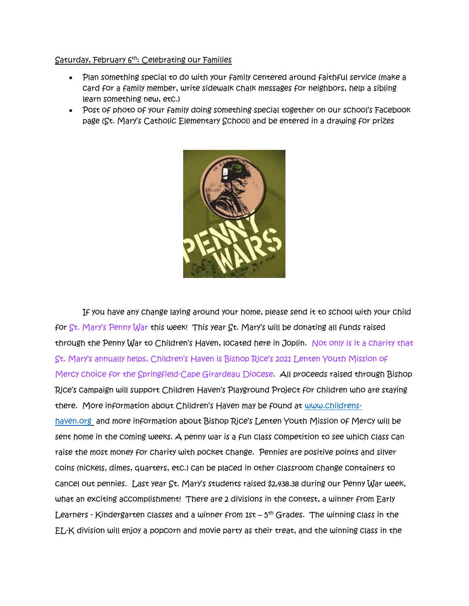#### Saturday, February 6th: Celebrating our Families

- Plan something special to do with your family centered around faithful service (make a card for a family member, write sidewalk chalk messages for neighbors, help a sibling learn something new, etc.)
- Post of photo of your family doing something special together on our school's Facebook page (St. Mary's Catholic Elementary School) and be entered in a drawing for prizes



If you have any change laying around your home, please send it to school with your child for St. Mary's Penny War this week! This year St. Mary's will be donating all funds raised through the Penny War to Children's Haven, located here in Joplin. Not only is it a charity that St. Mary's annually helps, Children's Haven is Bishop Rice's 2021 Lenten Youth Mission of Mercy choice for the Springfield-Cape Girardeau Diocese. All proceeds raised through Bishop Rice's campaign will support Children Haven's Playground Project for children who are staying there. More information about Children's Haven may be found at [www.childrens](http://www.childrens-haven.org/)[haven.org](http://www.childrens-haven.org/) and more information about Bishop Rice's Lenten Youth Mission of Mercy will be sent home in the coming weeks. A penny war is a fun class competition to see which class can raise the most money for charity with pocket change. Pennies are positive points and silver coins (nickels, dimes, quarters, etc.) can be placed in other classroom change containers to cancel out pennies. Last year St. Mary's students raised \$2,438.38 during our Penny War week, what an exciting accomplishment! There are 2 divisions in the contest, a winner from Early Learners - Kindergarten classes and a winner from 1st – 5<sup>th</sup> Grades. The winning class in the EL-K division will enjoy a popcorn and movie party as their treat, and the winning class in the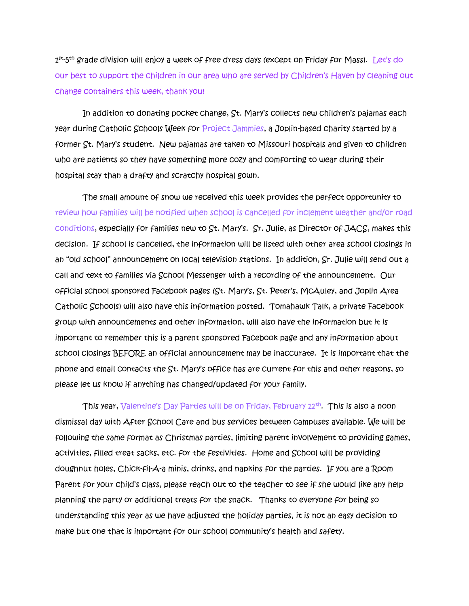1st-5<sup>th</sup> grade division will enjoy a week of free dress days (except on Friday for Mass). Let's do our best to support the children in our area who are served by Children's Haven by cleaning out change containers this week, thank you!

In addition to donating pocket change, St. Mary's collects new children's pajamas each year during Catholic Schools Week for Project Jammies, a Joplin-based charity started by a former St. Mary's student. New pajamas are taken to Missouri hospitals and given to children who are patients so they have something more cozy and comforting to wear during their hospital stay than a drafty and scratchy hospital gown.

 The small amount of snow we received this week provides the perfect opportunity to review how families will be notified when school is cancelled for inclement weather and/or road conditions, especially for families new to St. Mary's. Sr. Julie, as Director of JACS, makes this decision. If school is cancelled, the information will be listed with other area school closings in an "old school" announcement on local television stations. In addition, Sr. Julie will send out a call and text to families via School Messenger with a recording of the announcement. Our official school sponsored Facebook pages (St. Mary's, St. Peter's, McAuley, and Joplin Area Catholic Schools) will also have this information posted. Tomahawk Talk, a private Facebook group with announcements and other information, will also have the information but it is important to remember this is a parent sponsored Facebook page and any information about school closings BEFORE an official announcement may be inaccurate. It is important that the phone and email contacts the St. Mary's office has are current for this and other reasons, so please let us know if anything has changed/updated for your family.

This year, Valentine's Day Parties will be on Friday, February 12th . This is also a noon dismissal day with After School Care and bus services between campuses available. We will be following the same format as Christmas parties, limiting parent involvement to providing games, activities, filled treat sacks, etc. for the festivities. Home and School will be providing doughnut holes, Chick-fil-A-a minis, drinks, and napkins for the parties. If you are a Room Parent for your child's class, please reach out to the teacher to see if she would like any help planning the party or additional treats for the snack. Thanks to everyone for being so understanding this year as we have adjusted the holiday parties, it is not an easy decision to make but one that is important for our school community's health and safety.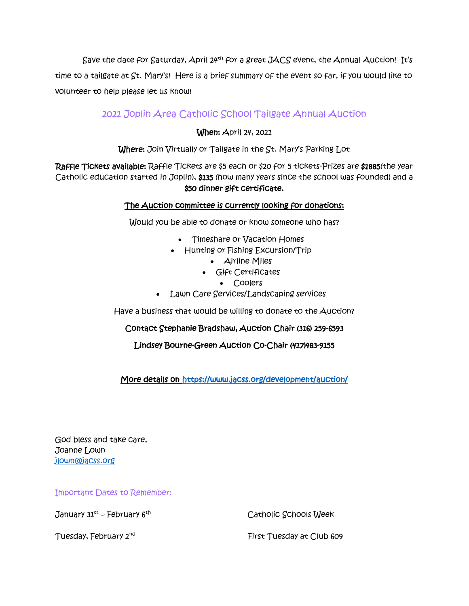Save the date for Saturday, April 24<sup>th</sup> for a great JACS event, the Annual Auction! It's time to a tailgate at St. Mary's! Here is a brief summary of the event so far, if you would like to volunteer to help please let us know!

# 2021 Joplin Area Catholic School Tailgate Annual Auction

When: April 24, 2021

Where: Join Virtually or Tailgate in the St. Mary's Parking Lot

Raffle Tickets available: Raffle Tickets are \$5 each or \$20 for 5 tickets-Prizes are \$1885(the year Catholic education started in Joplin), \$135 (how many years since the school was founded) and a \$50 dinner gift certificate.

# The Auction committee is currently looking for donations:

Would you be able to donate or know someone who has?

- Timeshare or Vacation Homes
- Hunting or Fishing Excursion/Trip
	- Airline Miles
	- Gift Certificates
		- Coolers
- Lawn Care Services/Landscaping services

Have a business that would be willing to donate to the Auction?

### Contact Stephanie Bradshaw, Auction Chair (316) 259-6593

Lindsey Bourne-Green Auction Co-Chair (417)483-9155

More details on<https://www.jacss.org/development/auction/>

God bless and take care, Joanne Lown [jlown@jacss.org](mailto:jlown@jacss.org)

Important Dates to Remember:

January 31<sup>st</sup> – February 6<sup>th</sup>

Catholic Schools Week

Tuesday, February 2<sup>nd</sup>

First Tuesday at Club 609